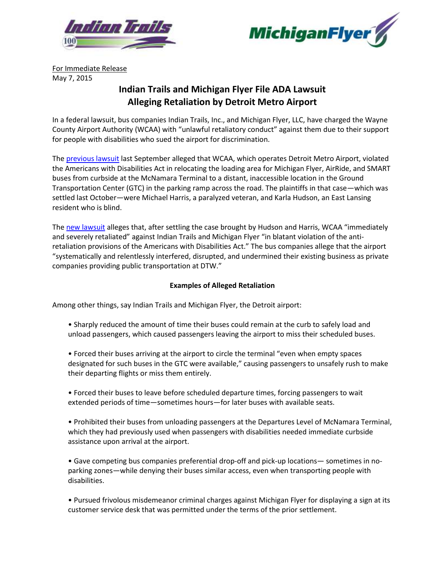



For Immediate Release May 7, 2015

# **Indian Trails and Michigan Flyer File ADA Lawsuit Alleging Retaliation by Detroit Metro Airport**

In a federal lawsuit, bus companies Indian Trails, Inc., and Michigan Flyer, LLC, have charged the Wayne County Airport Authority (WCAA) with "unlawful retaliatory conduct" against them due to their support for people with disabilities who sued the airport for discrimination.

The [previous lawsuit](http://bit.ly/ZbbYuX) last September alleged that WCAA, which operates Detroit Metro Airport, violated the Americans with Disabilities Act in relocating the loading area for Michigan Flyer, AirRide, and SMART buses from curbside at the McNamara Terminal to a distant, inaccessible location in the Ground Transportation Center (GTC) in the parking ramp across the road. The plaintiffs in that case—which was settled last October—were Michael Harris, a paralyzed veteran, and Karla Hudson, an East Lansing resident who is blind.

The [new lawsuit](http://bit.ly/1J3N0OI) alleges that, after settling the case brought by Hudson and Harris, WCAA "immediately and severely retaliated" against Indian Trails and Michigan Flyer "in blatant violation of the antiretaliation provisions of the Americans with Disabilities Act." The bus companies allege that the airport "systematically and relentlessly interfered, disrupted, and undermined their existing business as private companies providing public transportation at DTW."

## **Examples of Alleged Retaliation**

Among other things, say Indian Trails and Michigan Flyer, the Detroit airport:

- Sharply reduced the amount of time their buses could remain at the curb to safely load and unload passengers, which caused passengers leaving the airport to miss their scheduled buses.
- Forced their buses arriving at the airport to circle the terminal "even when empty spaces designated for such buses in the GTC were available," causing passengers to unsafely rush to make their departing flights or miss them entirely.
- Forced their buses to leave before scheduled departure times, forcing passengers to wait extended periods of time—sometimes hours—for later buses with available seats.
- Prohibited their buses from unloading passengers at the Departures Level of McNamara Terminal, which they had previously used when passengers with disabilities needed immediate curbside assistance upon arrival at the airport.

• Gave competing bus companies preferential drop-off and pick-up locations— sometimes in noparking zones—while denying their buses similar access, even when transporting people with disabilities.

• Pursued frivolous misdemeanor criminal charges against Michigan Flyer for displaying a sign at its customer service desk that was permitted under the terms of the prior settlement.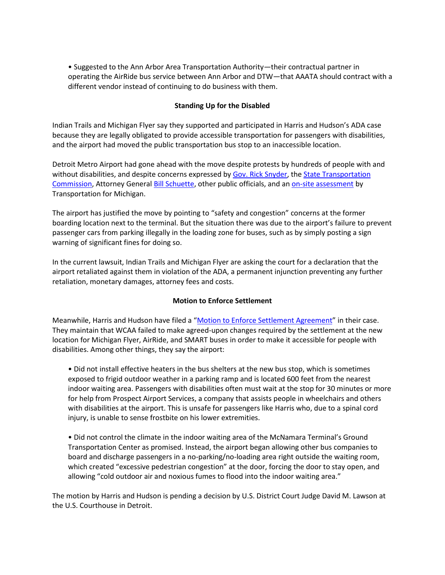• Suggested to the Ann Arbor Area Transportation Authority—their contractual partner in operating the AirRide bus service between Ann Arbor and DTW—that AAATA should contract with a different vendor instead of continuing to do business with them.

## **Standing Up for the Disabled**

Indian Trails and Michigan Flyer say they supported and participated in Harris and Hudson's ADA case because they are legally obligated to provide accessible transportation for passengers with disabilities, and the airport had moved the public transportation bus stop to an inaccessible location.

Detroit Metro Airport had gone ahead with the move despite protests by hundreds of people with and without disabilities, and despite concerns expressed b[y Gov. Rick Snyder,](http://bit.ly/1wGNVyT) the State Transportation [Commission,](http://bit.ly/1v9h0Sq) Attorney Genera[l Bill Schuette,](http://bit.ly/11p15GE) other public officials, and a[n on-site assessment](http://trans4m.org/2014/09/16/3988/) by Transportation for Michigan.

The airport has justified the move by pointing to "safety and congestion" concerns at the former boarding location next to the terminal. But the situation there was due to the airport's failure to prevent passenger cars from parking illegally in the loading zone for buses, such as by simply posting a sign warning of significant fines for doing so.

In the current lawsuit, Indian Trails and Michigan Flyer are asking the court for a declaration that the airport retaliated against them in violation of the ADA, a permanent injunction preventing any further retaliation, monetary damages, attorney fees and costs.

#### **Motion to Enforce Settlement**

Meanwhile, Harris and Hudson have filed a "[Motion to Enforce Settlement Agreement](http://bit.ly/1x7ehrN)" in their case. They maintain that WCAA failed to make agreed-upon changes required by the settlement at the new location for Michigan Flyer, AirRide, and SMART buses in order to make it accessible for people with disabilities. Among other things, they say the airport:

• Did not install effective heaters in the bus shelters at the new bus stop, which is sometimes exposed to frigid outdoor weather in a parking ramp and is located 600 feet from the nearest indoor waiting area. Passengers with disabilities often must wait at the stop for 30 minutes or more for help from Prospect Airport Services, a company that assists people in wheelchairs and others with disabilities at the airport. This is unsafe for passengers like Harris who, due to a spinal cord injury, is unable to sense frostbite on his lower extremities.

• Did not control the climate in the indoor waiting area of the McNamara Terminal's Ground Transportation Center as promised. Instead, the airport began allowing other bus companies to board and discharge passengers in a no-parking/no-loading area right outside the waiting room, which created "excessive pedestrian congestion" at the door, forcing the door to stay open, and allowing "cold outdoor air and noxious fumes to flood into the indoor waiting area."

The motion by Harris and Hudson is pending a decision by U.S. District Court Judge David M. Lawson at the U.S. Courthouse in Detroit.